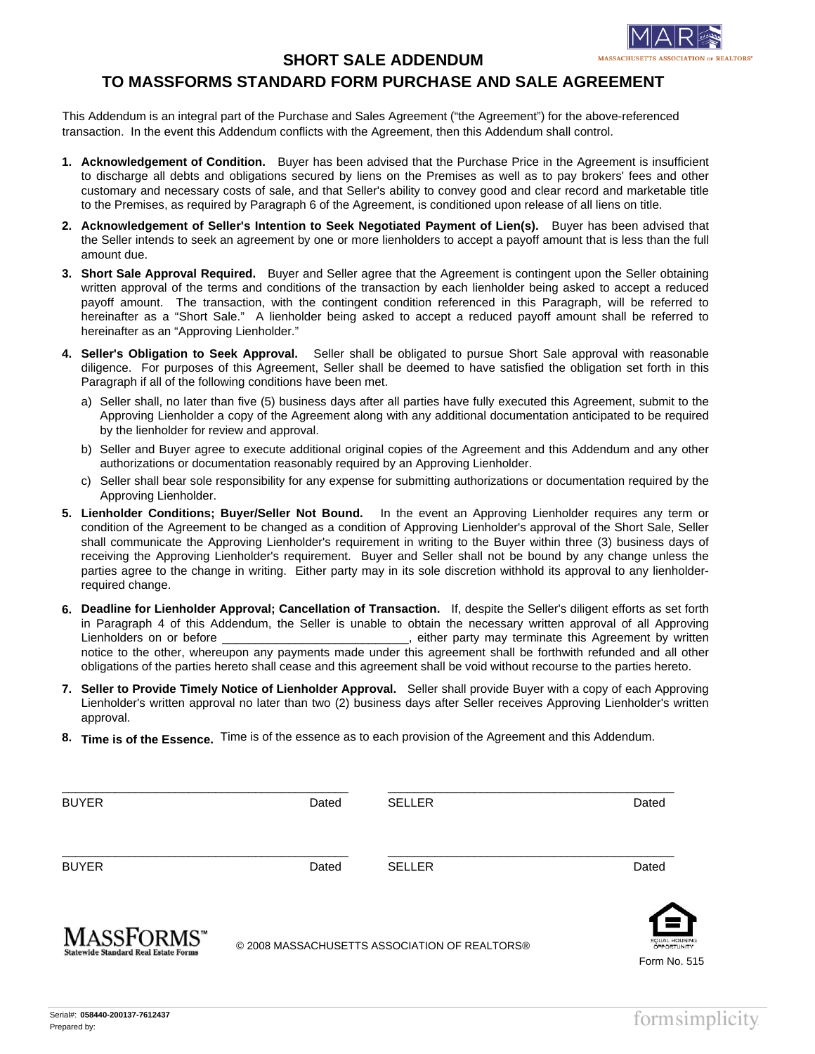

## **SHORT SALE ADDENDUM**

## **TO MASSFORMS STANDARD FORM PURCHASE AND SALE AGREEMENT**

This Addendum is an integral part of the Purchase and Sales Agreement ("the Agreement") for the above-referenced transaction. In the event this Addendum conflicts with the Agreement, then this Addendum shall control.

- **Acknowledgement of Condition.** Buyer has been advised that the Purchase Price in the Agreement is insufficient **1.** to discharge all debts and obligations secured by liens on the Premises as well as to pay brokers' fees and other customary and necessary costs of sale, and that Seller's ability to convey good and clear record and marketable title to the Premises, as required by Paragraph 6 of the Agreement, is conditioned upon release of all liens on title.
- **Acknowledgement of Seller's Intention to Seek Negotiated Payment of Lien(s).** Buyer has been advised that **2.** the Seller intends to seek an agreement by one or more lienholders to accept a payoff amount that is less than the full amount due.
- **Short Sale Approval Required.** Buyer and Seller agree that the Agreement is contingent upon the Seller obtaining **3.** written approval of the terms and conditions of the transaction by each lienholder being asked to accept a reduced payoff amount. The transaction, with the contingent condition referenced in this Paragraph, will be referred to hereinafter as a "Short Sale." A lienholder being asked to accept a reduced payoff amount shall be referred to hereinafter as an "Approving Lienholder."
- **Seller's Obligation to Seek Approval.** Seller shall be obligated to pursue Short Sale approval with reasonable **4.** diligence. For purposes of this Agreement, Seller shall be deemed to have satisfied the obligation set forth in this Paragraph if all of the following conditions have been met.
	- a) Seller shall, no later than five (5) business days after all parties have fully executed this Agreement, submit to the Approving Lienholder a copy of the Agreement along with any additional documentation anticipated to be required by the lienholder for review and approval.
	- b) Seller and Buyer agree to execute additional original copies of the Agreement and this Addendum and any other authorizations or documentation reasonably required by an Approving Lienholder.
	- c) Seller shall bear sole responsibility for any expense for submitting authorizations or documentation required by the Approving Lienholder.
- **Lienholder Conditions; Buyer/Seller Not Bound.** In the event an Approving Lienholder requires any term or **5.** condition of the Agreement to be changed as a condition of Approving Lienholder's approval of the Short Sale, Seller shall communicate the Approving Lienholder's requirement in writing to the Buyer within three (3) business days of receiving the Approving Lienholder's requirement. Buyer and Seller shall not be bound by any change unless the parties agree to the change in writing. Either party may in its sole discretion withhold its approval to any lienholderrequired change.
- **Deadline for Lienholder Approval; Cancellation of Transaction.** If, despite the Seller's diligent efforts as set forth **6.** in Paragraph 4 of this Addendum, the Seller is unable to obtain the necessary written approval of all Approving Lienholders on or before \_\_\_\_\_\_\_\_\_\_\_\_\_\_\_\_\_\_\_\_\_\_\_\_\_\_\_\_, either party may terminate this Agreement by written notice to the other, whereupon any payments made under this agreement shall be forthwith refunded and all other obligations of the parties hereto shall cease and this agreement shall be void without recourse to the parties hereto.
- **Seller to Provide Timely Notice of Lienholder Approval.** Seller shall provide Buyer with a copy of each Approving **7.** Lienholder's written approval no later than two (2) business days after Seller receives Approving Lienholder's written approval.
- **Time is of the Essence.** Time is of the essence as to each provision of the Agreement and this Addendum. **8.**

| <b>BUYER</b>       | Dated | <b>SELLER</b>                                  | Dated                      |
|--------------------|-------|------------------------------------------------|----------------------------|
| <b>BUYER</b>       | Dated | <b>SELLER</b>                                  | Dated                      |
| <b>MASSFORMS</b> " |       | @ 2000 MACCACULICETTS ACCOCIATION OF DEALTODC® | <u>(=)</u><br>EQUAL HOUSIN |

© 2008 MASSACHUSETTS ASSOCIATION OF REALTORS®



tatewide Standard Real Estate Forms